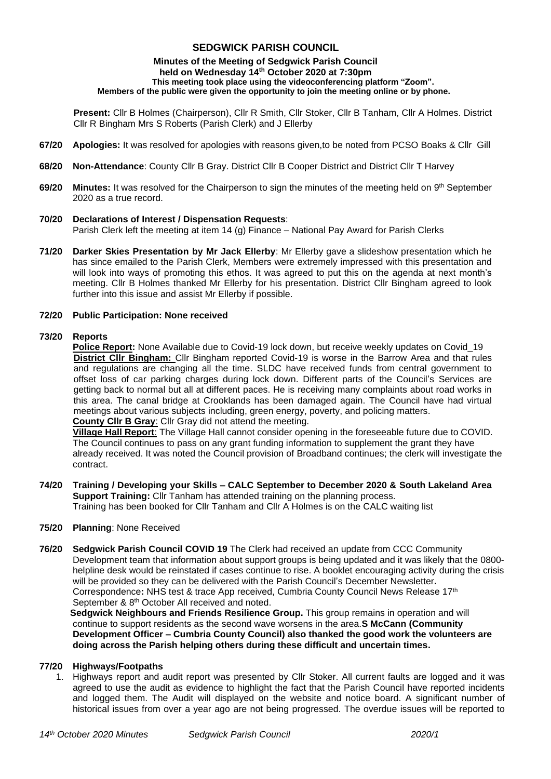## **SEDGWICK PARISH COUNCIL**

#### **Minutes of the Meeting of Sedgwick Parish Council held on Wednesday 14th October 2020 at 7:30pm This meeting took place using the videoconferencing platform "Zoom". Members of the public were given the opportunity to join the meeting online or by phone.**

**Present:** Cllr B Holmes (Chairperson), Cllr R Smith, Cllr Stoker, Cllr B Tanham, Cllr A Holmes. District Cllr R Bingham Mrs S Roberts (Parish Clerk) and J Ellerby

- **67/20 Apologies:** It was resolved for apologies with reasons given,to be noted from PCSO Boaks & Cllr Gill
- **68/20 Non-Attendance**: County Cllr B Gray. District Cllr B Cooper District and District Cllr T Harvey
- **69/20 Minutes:** It was resolved for the Chairperson to sign the minutes of the meeting held on 9<sup>th</sup> September 2020 as a true record.

## **70/20 Declarations of Interest / Dispensation Requests**:

Parish Clerk left the meeting at item 14 (g) Finance – National Pay Award for Parish Clerks

**71/20 Darker Skies Presentation by Mr Jack Ellerby**: Mr Ellerby gave a slideshow presentation which he has since emailed to the Parish Clerk, Members were extremely impressed with this presentation and will look into ways of promoting this ethos. It was agreed to put this on the agenda at next month's meeting. Cllr B Holmes thanked Mr Ellerby for his presentation. District Cllr Bingham agreed to look further into this issue and assist Mr Ellerby if possible.

### **72/20 Public Participation: None received**

### **73/20 Reports**

**Police Report:** None Available due to Covid-19 lock down, but receive weekly updates on Covid\_19 **District Cllr Bingham:** Cllr Bingham reported Covid-19 is worse in the Barrow Area and that rules and regulations are changing all the time. SLDC have received funds from central government to offset loss of car parking charges during lock down. Different parts of the Council's Services are getting back to normal but all at different paces. He is receiving many complaints about road works in this area. The canal bridge at Crooklands has been damaged again. The Council have had virtual meetings about various subjects including, green energy, poverty, and policing matters. **County Cllr B Gray**: Cllr Gray did not attend the meeting.

**Village Hall Report**: The Village Hall cannot consider opening in the foreseeable future due to COVID. The Council continues to pass on any grant funding information to supplement the grant they have already received. It was noted the Council provision of Broadband continues; the clerk will investigate the contract.

**74/20 Training / Developing your Skills – CALC September to December 2020 & South Lakeland Area Support Training:** Cllr Tanham has attended training on the planning process. Training has been booked for Cllr Tanham and Cllr A Holmes is on the CALC waiting list

### **75/20 Planning**: None Received

**76/20 Sedgwick Parish Council COVID 19** The Clerk had received an update from CCC Community Development team that information about support groups is being updated and it was likely that the 0800 helpline desk would be reinstated if cases continue to rise. A booklet encouraging activity during the crisis will be provided so they can be delivered with the Parish Council's December Newsletter**.** Correspondence**:** NHS test & trace App received, Cumbria County Council News Release 17th September & 8<sup>th</sup> October All received and noted.

 **Sedgwick Neighbours and Friends Resilience Group.** This group remains in operation and will continue to support residents as the second wave worsens in the area.**S McCann (Community Development Officer – Cumbria County Council) also thanked the good work the volunteers are doing across the Parish helping others during these difficult and uncertain times.**

### **77/20 Highways/Footpaths**

1. Highways report and audit report was presented by Cllr Stoker. All current faults are logged and it was agreed to use the audit as evidence to highlight the fact that the Parish Council have reported incidents and logged them. The Audit will displayed on the website and notice board. A significant number of historical issues from over a year ago are not being progressed. The overdue issues will be reported to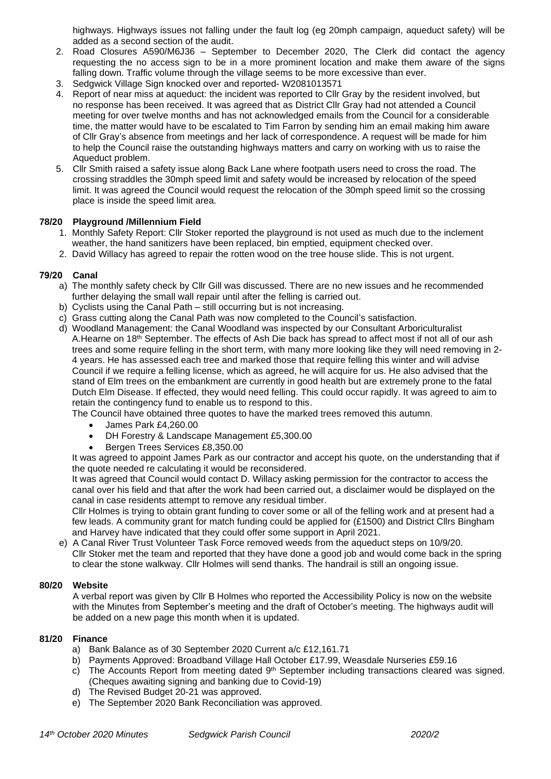highways. Highways issues not falling under the fault log (eg 20mph campaign, aqueduct safety) will be added as a second section of the audit.

- 2. Road Closures A590/M6J36 September to December 2020, The Clerk did contact the agency requesting the no access sign to be in a more prominent location and make them aware of the signs falling down. Traffic volume through the village seems to be more excessive than ever.
- 3. Sedgwick Village Sign knocked over and reported- W2081013571
- 4. Report of near miss at aqueduct: the incident was reported to Cllr Gray by the resident involved, but no response has been received. It was agreed that as District Cllr Gray had not attended a Council meeting for over twelve months and has not acknowledged emails from the Council for a considerable time, the matter would have to be escalated to Tim Farron by sending him an email making him aware of Cllr Gray's absence from meetings and her lack of correspondence. A request will be made for him to help the Council raise the outstanding highways matters and carry on working with us to raise the Aqueduct problem.
- 5. Cllr Smith raised a safety issue along Back Lane where footpath users need to cross the road. The crossing straddles the 30mph speed limit and safety would be increased by relocation of the speed limit. It was agreed the Council would request the relocation of the 30mph speed limit so the crossing place is inside the speed limit area.

### **78/20 Playground /Millennium Field**

- 1. Monthly Safety Report: Cllr Stoker reported the playground is not used as much due to the inclement weather, the hand sanitizers have been replaced, bin emptied, equipment checked over.
- 2. David Willacy has agreed to repair the rotten wood on the tree house slide. This is not urgent.

### **79/20 Canal**

- a) The monthly safety check by Cllr Gill was discussed. There are no new issues and he recommended further delaying the small wall repair until after the felling is carried out.
- b) Cyclists using the Canal Path still occurring but is not increasing.
- c) Grass cutting along the Canal Path was now completed to the Council's satisfaction.
- d) Woodland Management: the Canal Woodland was inspected by our Consultant Arboriculturalist A.Hearne on 18 th September. The effects of Ash Die back has spread to affect most if not all of our ash trees and some require felling in the short term, with many more looking like they will need removing in 2- 4 years. He has assessed each tree and marked those that require felling this winter and will advise Council if we require a felling license, which as agreed, he will acquire for us. He also advised that the stand of Elm trees on the embankment are currently in good health but are extremely prone to the fatal Dutch Elm Disease. If effected, they would need felling. This could occur rapidly. It was agreed to aim to retain the contingency fund to enable us to respond to this.

The Council have obtained three quotes to have the marked trees removed this autumn.

- James Park £4,260.00
- DH Forestry & Landscape Management £5,300.00
- Bergen Trees Services £8,350.00

It was agreed to appoint James Park as our contractor and accept his quote, on the understanding that if the quote needed re calculating it would be reconsidered.

It was agreed that Council would contact D. Willacy asking permission for the contractor to access the canal over his field and that after the work had been carried out, a disclaimer would be displayed on the canal in case residents attempt to remove any residual timber.

Cllr Holmes is trying to obtain grant funding to cover some or all of the felling work and at present had a few leads. A community grant for match funding could be applied for (£1500) and District Cllrs Bingham and Harvey have indicated that they could offer some support in April 2021.

e) A Canal River Trust Volunteer Task Force removed weeds from the aqueduct steps on 10/9/20. Cllr Stoker met the team and reported that they have done a good job and would come back in the spring to clear the stone walkway. Cllr Holmes will send thanks. The handrail is still an ongoing issue.

### **80/20 Website**

A verbal report was given by Cllr B Holmes who reported the Accessibility Policy is now on the website with the Minutes from September's meeting and the draft of October's meeting. The highways audit will be added on a new page this month when it is updated.

### **81/20 Finance**

- a) Bank Balance as of 30 September 2020 Current a/c £12,161.71
- b) Payments Approved: Broadband Village Hall October £17.99, Weasdale Nurseries £59.16
- c) The Accounts Report from meeting dated  $9<sup>th</sup>$  September including transactions cleared was signed. (Cheques awaiting signing and banking due to Covid-19)
- d) The Revised Budget 20-21 was approved.
- e) The September 2020 Bank Reconciliation was approved.